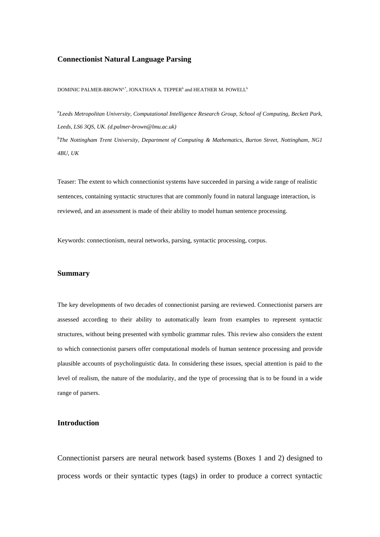### **Connectionist Natural Language Parsing**

DOMINIC PALMER-BROWN<sup>a,\*</sup>, JONATHAN A. TEPPER<sup>b</sup> and HEATHER M. POWELL<sup>b</sup>

*a Leeds Metropolitan University, Computational Intelligence Research Group, School of Computing, Beckett Park, Leeds, LS6 3QS, UK. (d.palmer-brown@lmu.ac.uk) b The Nottingham Trent University, Department of Computing & Mathematics, Burton Street, Nottingham, NG1* 

*4BU, UK* 

Teaser: The extent to which connectionist systems have succeeded in parsing a wide range of realistic sentences, containing syntactic structures that are commonly found in natural language interaction, is reviewed, and an assessment is made of their ability to model human sentence processing.

Keywords: connectionism, neural networks, parsing, syntactic processing, corpus.

#### **Summary**

The key developments of two decades of connectionist parsing are reviewed. Connectionist parsers are assessed according to their ability to automatically learn from examples to represent syntactic structures, without being presented with symbolic grammar rules. This review also considers the extent to which connectionist parsers offer computational models of human sentence processing and provide plausible accounts of psycholinguistic data. In considering these issues, special attention is paid to the level of realism, the nature of the modularity, and the type of processing that is to be found in a wide range of parsers.

# **Introduction**

Connectionist parsers are neural network based systems (Boxes 1 and 2) designed to process words or their syntactic types (tags) in order to produce a correct syntactic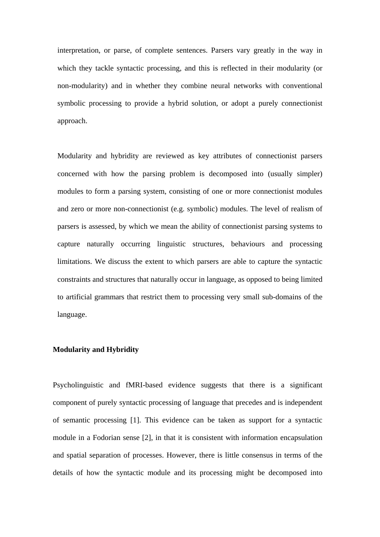interpretation, or parse, of complete sentences. Parsers vary greatly in the way in which they tackle syntactic processing, and this is reflected in their modularity (or non-modularity) and in whether they combine neural networks with conventional symbolic processing to provide a hybrid solution, or adopt a purely connectionist approach.

Modularity and hybridity are reviewed as key attributes of connectionist parsers concerned with how the parsing problem is decomposed into (usually simpler) modules to form a parsing system, consisting of one or more connectionist modules and zero or more non-connectionist (e.g. symbolic) modules. The level of realism of parsers is assessed, by which we mean the ability of connectionist parsing systems to capture naturally occurring linguistic structures, behaviours and processing limitations. We discuss the extent to which parsers are able to capture the syntactic constraints and structures that naturally occur in language, as opposed to being limited to artificial grammars that restrict them to processing very small sub-domains of the language.

# **Modularity and Hybridity**

Psycholinguistic and fMRI-based evidence suggests that there is a significant component of purely syntactic processing of language that precedes and is independent of semantic processing [1]. This evidence can be taken as support for a syntactic module in a Fodorian sense [2], in that it is consistent with information encapsulation and spatial separation of processes. However, there is little consensus in terms of the details of how the syntactic module and its processing might be decomposed into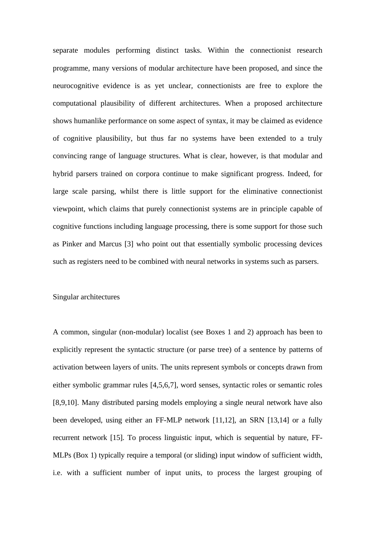separate modules performing distinct tasks. Within the connectionist research programme, many versions of modular architecture have been proposed, and since the neurocognitive evidence is as yet unclear, connectionists are free to explore the computational plausibility of different architectures. When a proposed architecture shows humanlike performance on some aspect of syntax, it may be claimed as evidence of cognitive plausibility, but thus far no systems have been extended to a truly convincing range of language structures. What is clear, however, is that modular and hybrid parsers trained on corpora continue to make significant progress. Indeed, for large scale parsing, whilst there is little support for the eliminative connectionist viewpoint, which claims that purely connectionist systems are in principle capable of cognitive functions including language processing, there is some support for those such as Pinker and Marcus [3] who point out that essentially symbolic processing devices such as registers need to be combined with neural networks in systems such as parsers.

# Singular architectures

A common, singular (non-modular) localist (see Boxes 1 and 2) approach has been to explicitly represent the syntactic structure (or parse tree) of a sentence by patterns of activation between layers of units. The units represent symbols or concepts drawn from either symbolic grammar rules [4,5,6,7], word senses, syntactic roles or semantic roles [8,9,10]. Many distributed parsing models employing a single neural network have also been developed, using either an FF-MLP network [11,12], an SRN [13,14] or a fully recurrent network [15]. To process linguistic input, which is sequential by nature, FF-MLPs (Box 1) typically require a temporal (or sliding) input window of sufficient width, i.e. with a sufficient number of input units, to process the largest grouping of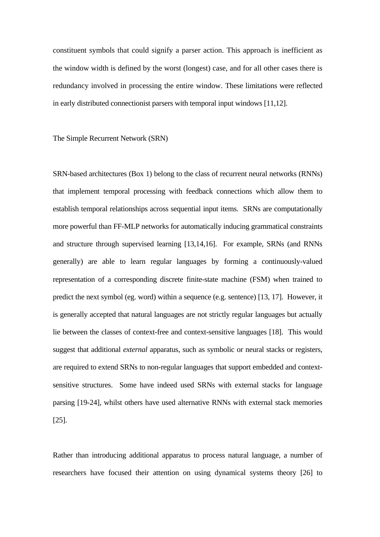constituent symbols that could signify a parser action. This approach is inefficient as the window width is defined by the worst (longest) case, and for all other cases there is redundancy involved in processing the entire window. These limitations were reflected in early distributed connectionist parsers with temporal input windows [11,12].

The Simple Recurrent Network (SRN)

SRN-based architectures (Box 1) belong to the class of recurrent neural networks (RNNs) that implement temporal processing with feedback connections which allow them to establish temporal relationships across sequential input items. SRNs are computationally more powerful than FF-MLP networks for automatically inducing grammatical constraints and structure through supervised learning [13,14,16]. For example, SRNs (and RNNs generally) are able to learn regular languages by forming a continuously-valued representation of a corresponding discrete finite-state machine (FSM) when trained to predict the next symbol (eg. word) within a sequence (e.g. sentence) [13, 17]. However, it is generally accepted that natural languages are not strictly regular languages but actually lie between the classes of context-free and context-sensitive languages [18]. This would suggest that additional *external* apparatus, such as symbolic or neural stacks or registers, are required to extend SRNs to non-regular languages that support embedded and contextsensitive structures. Some have indeed used SRNs with external stacks for language parsing [19-24], whilst others have used alternative RNNs with external stack memories [25].

Rather than introducing additional apparatus to process natural language, a number of researchers have focused their attention on using dynamical systems theory [26] to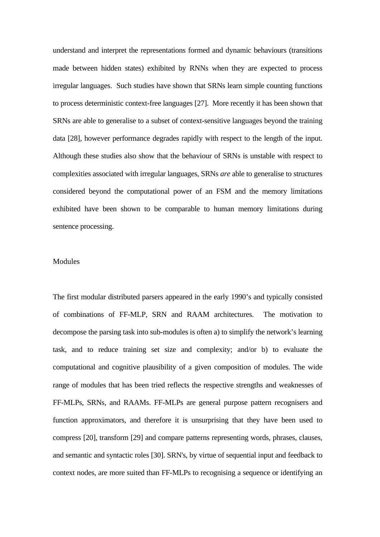understand and interpret the representations formed and dynamic behaviours (transitions made between hidden states) exhibited by RNNs when they are expected to process irregular languages. Such studies have shown that SRNs learn simple counting functions to process deterministic context-free languages [27]. More recently it has been shown that SRNs are able to generalise to a subset of context-sensitive languages beyond the training data [28], however performance degrades rapidly with respect to the length of the input. Although these studies also show that the behaviour of SRNs is unstable with respect to complexities associated with irregular languages, SRNs *are* able to generalise to structures considered beyond the computational power of an FSM and the memory limitations exhibited have been shown to be comparable to human memory limitations during sentence processing.

# **Modules**

The first modular distributed parsers appeared in the early 1990's and typically consisted of combinations of FF-MLP, SRN and RAAM architectures. The motivation to decompose the parsing task into sub-modules is often a) to simplify the network's learning task, and to reduce training set size and complexity; and/or b) to evaluate the computational and cognitive plausibility of a given composition of modules. The wide range of modules that has been tried reflects the respective strengths and weaknesses of FF-MLPs, SRNs, and RAAMs. FF-MLPs are general purpose pattern recognisers and function approximators, and therefore it is unsurprising that they have been used to compress [20], transform [29] and compare patterns representing words, phrases, clauses, and semantic and syntactic roles [30]. SRN's, by virtue of sequential input and feedback to context nodes, are more suited than FF-MLPs to recognising a sequence or identifying an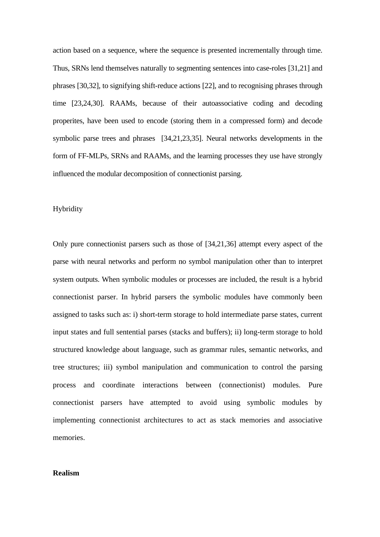action based on a sequence, where the sequence is presented incrementally through time. Thus, SRNs lend themselves naturally to segmenting sentences into case-roles [31,21] and phrases [30,32], to signifying shift-reduce actions [22], and to recognising phrases through time [23,24,30]. RAAMs, because of their autoassociative coding and decoding properites, have been used to encode (storing them in a compressed form) and decode symbolic parse trees and phrases [34,21,23,35]. Neural networks developments in the form of FF-MLPs, SRNs and RAAMs, and the learning processes they use have strongly influenced the modular decomposition of connectionist parsing.

### Hybridity

Only pure connectionist parsers such as those of [34,21,36] attempt every aspect of the parse with neural networks and perform no symbol manipulation other than to interpret system outputs. When symbolic modules or processes are included, the result is a hybrid connectionist parser. In hybrid parsers the symbolic modules have commonly been assigned to tasks such as: i) short-term storage to hold intermediate parse states, current input states and full sentential parses (stacks and buffers); ii) long-term storage to hold structured knowledge about language, such as grammar rules, semantic networks, and tree structures; iii) symbol manipulation and communication to control the parsing process and coordinate interactions between (connectionist) modules. Pure connectionist parsers have attempted to avoid using symbolic modules by implementing connectionist architectures to act as stack memories and associative memories.

# **Realism**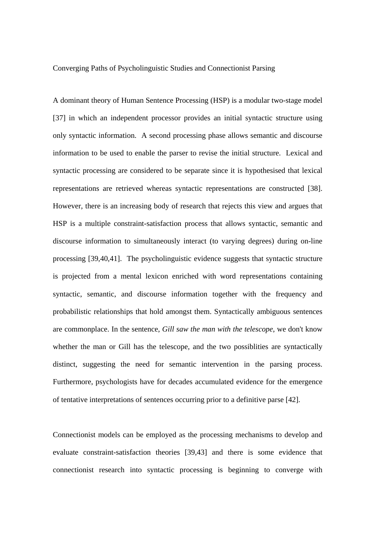Converging Paths of Psycholinguistic Studies and Connectionist Parsing

A dominant theory of Human Sentence Processing (HSP) is a modular two-stage model [37] in which an independent processor provides an initial syntactic structure using only syntactic information. A second processing phase allows semantic and discourse information to be used to enable the parser to revise the initial structure. Lexical and syntactic processing are considered to be separate since it is hypothesised that lexical representations are retrieved whereas syntactic representations are constructed [38]. However, there is an increasing body of research that rejects this view and argues that HSP is a multiple constraint-satisfaction process that allows syntactic, semantic and discourse information to simultaneously interact (to varying degrees) during on-line processing [39,40,41]. The psycholinguistic evidence suggests that syntactic structure is projected from a mental lexicon enriched with word representations containing syntactic, semantic, and discourse information together with the frequency and probabilistic relationships that hold amongst them. Syntactically ambiguous sentences are commonplace. In the sentence, *Gill saw the man with the telescope*, we don't know whether the man or Gill has the telescope, and the two possiblities are syntactically distinct, suggesting the need for semantic intervention in the parsing process. Furthermore, psychologists have for decades accumulated evidence for the emergence of tentative interpretations of sentences occurring prior to a definitive parse [42].

Connectionist models can be employed as the processing mechanisms to develop and evaluate constraint-satisfaction theories [39,43] and there is some evidence that connectionist research into syntactic processing is beginning to converge with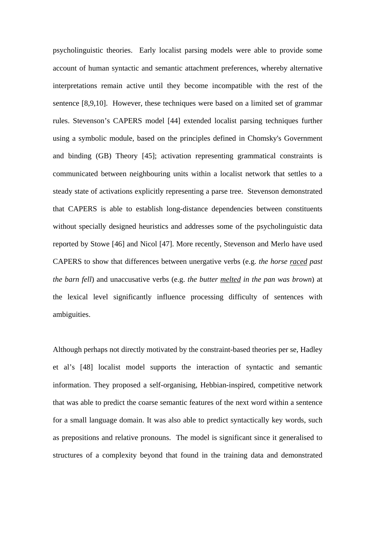psycholinguistic theories. Early localist parsing models were able to provide some account of human syntactic and semantic attachment preferences, whereby alternative interpretations remain active until they become incompatible with the rest of the sentence [8,9,10]. However, these techniques were based on a limited set of grammar rules. Stevenson's CAPERS model [44] extended localist parsing techniques further using a symbolic module, based on the principles defined in Chomsky's Government and binding (GB) Theory [45]; activation representing grammatical constraints is communicated between neighbouring units within a localist network that settles to a steady state of activations explicitly representing a parse tree. Stevenson demonstrated that CAPERS is able to establish long-distance dependencies between constituents without specially designed heuristics and addresses some of the psycholinguistic data reported by Stowe [46] and Nicol [47]. More recently, Stevenson and Merlo have used CAPERS to show that differences between unergative verbs (e.g. *the horse raced past the barn fell*) and unaccusative verbs (e.g. *the butter melted in the pan was brown*) at the lexical level significantly influence processing difficulty of sentences with ambiguities.

Although perhaps not directly motivated by the constraint-based theories per se, Hadley et al's [48] localist model supports the interaction of syntactic and semantic information. They proposed a self-organising, Hebbian-inspired, competitive network that was able to predict the coarse semantic features of the next word within a sentence for a small language domain. It was also able to predict syntactically key words, such as prepositions and relative pronouns. The model is significant since it generalised to structures of a complexity beyond that found in the training data and demonstrated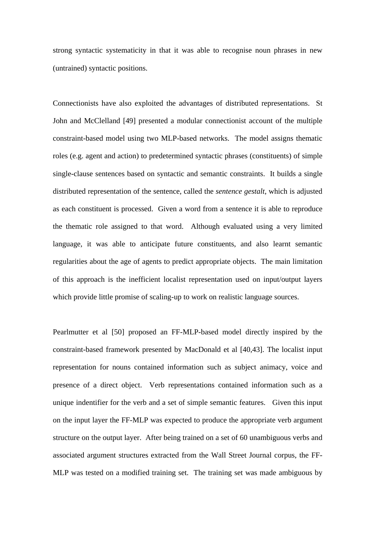strong syntactic systematicity in that it was able to recognise noun phrases in new (untrained) syntactic positions.

Connectionists have also exploited the advantages of distributed representations. St John and McClelland [49] presented a modular connectionist account of the multiple constraint-based model using two MLP-based networks. The model assigns thematic roles (e.g. agent and action) to predetermined syntactic phrases (constituents) of simple single-clause sentences based on syntactic and semantic constraints. It builds a single distributed representation of the sentence, called the *sentence gestalt*, which is adjusted as each constituent is processed. Given a word from a sentence it is able to reproduce the thematic role assigned to that word. Although evaluated using a very limited language, it was able to anticipate future constituents, and also learnt semantic regularities about the age of agents to predict appropriate objects. The main limitation of this approach is the inefficient localist representation used on input/output layers which provide little promise of scaling-up to work on realistic language sources.

Pearlmutter et al [50] proposed an FF-MLP-based model directly inspired by the constraint-based framework presented by MacDonald et al [40,43]. The localist input representation for nouns contained information such as subject animacy, voice and presence of a direct object. Verb representations contained information such as a unique indentifier for the verb and a set of simple semantic features. Given this input on the input layer the FF-MLP was expected to produce the appropriate verb argument structure on the output layer. After being trained on a set of 60 unambiguous verbs and associated argument structures extracted from the Wall Street Journal corpus, the FF-MLP was tested on a modified training set. The training set was made ambiguous by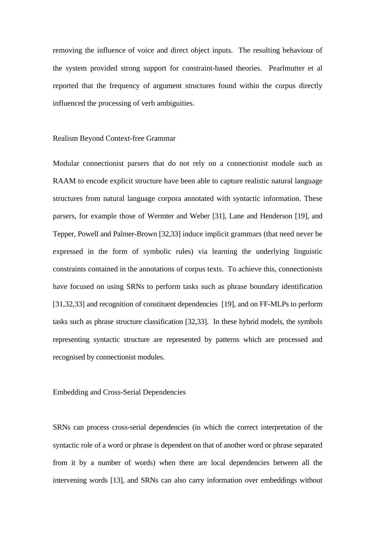removing the influence of voice and direct object inputs. The resulting behaviour of the system provided strong support for constraint-based theories. Pearlmutter et al reported that the frequency of argument structures found within the corpus directly influenced the processing of verb ambiguities.

### Realism Beyond Context-free Grammar

Modular connectionist parsers that do not rely on a connectionist module such as RAAM to encode explicit structure have been able to capture realistic natural language structures from natural language corpora annotated with syntactic information. These parsers, for example those of Wermter and Weber [31], Lane and Henderson [19], and Tepper, Powell and Palmer-Brown [32,33] induce implicit grammars (that need never be expressed in the form of symbolic rules) via learning the underlying linguistic constraints contained in the annotations of corpus texts. To achieve this, connectionists have focused on using SRNs to perform tasks such as phrase boundary identification [31,32,33] and recognition of constituent dependencies [19], and on FF-MLPs to perform tasks such as phrase structure classification [32,33]. In these hybrid models, the symbols representing syntactic structure are represented by patterns which are processed and recognised by connectionist modules.

Embedding and Cross-Serial Dependencies

SRNs can process cross-serial dependencies (in which the correct interpretation of the syntactic role of a word or phrase is dependent on that of another word or phrase separated from it by a number of words) when there are local dependencies between all the intervening words [13], and SRNs can also carry information over embeddings without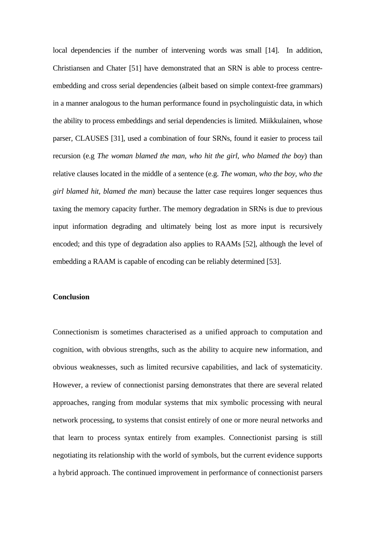local dependencies if the number of intervening words was small [14]. In addition, Christiansen and Chater [51] have demonstrated that an SRN is able to process centreembedding and cross serial dependencies (albeit based on simple context-free grammars) in a manner analogous to the human performance found in psycholinguistic data, in which the ability to process embeddings and serial dependencies is limited. Miikkulainen, whose parser, CLAUSES [31], used a combination of four SRNs, found it easier to process tail recursion (e.g *The woman blamed the man, who hit the girl, who blamed the boy*) than relative clauses located in the middle of a sentence (e.g. *The woman, who the boy, who the girl blamed hit, blamed the man*) because the latter case requires longer sequences thus taxing the memory capacity further. The memory degradation in SRNs is due to previous input information degrading and ultimately being lost as more input is recursively encoded; and this type of degradation also applies to RAAMs [52], although the level of embedding a RAAM is capable of encoding can be reliably determined [53].

# **Conclusion**

Connectionism is sometimes characterised as a unified approach to computation and cognition, with obvious strengths, such as the ability to acquire new information, and obvious weaknesses, such as limited recursive capabilities, and lack of systematicity. However, a review of connectionist parsing demonstrates that there are several related approaches, ranging from modular systems that mix symbolic processing with neural network processing, to systems that consist entirely of one or more neural networks and that learn to process syntax entirely from examples. Connectionist parsing is still negotiating its relationship with the world of symbols, but the current evidence supports a hybrid approach. The continued improvement in performance of connectionist parsers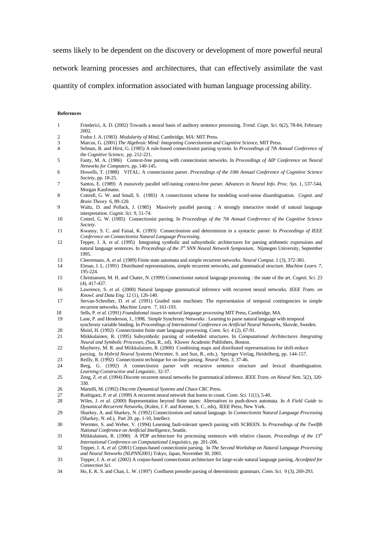seems likely to be dependent on the discovery or development of more powerful neural

network learning processes and architectures, that can effectively assimilate the vast

quantity of complex information associated with human language processing ability.

#### **References**

- 1 Friederici, A. D. (2002) Towards a neural basis of auditory sentence processing. *Trend. Cogn. Sci.* 6(2), 78-84, February 2002.
- 2 Fodor J. A. (1983) *Modularity of Mind*, Cambridge, MA: MIT Press.
- 3 Marcus, G. (2001) *The Algebraic Mind: Integrating Conectionism and Cognitive Science*, MIT Press.
- 4 Selman, B. and Hirst, G. (1985) A rule-based connectionist parsing system. In *Proceedings of 7th Annual Conference of the Cognitive Science*,pp. 212-221.
- 5 Fanty, M. A. (1986) Context-free parsing with connectionist networks. In *Proceedings of AIP Conference on Neural Networks for Computers*, pp. 140-145.
- 6 Howells, T. (1988) VITAL: A connectionist parser. *Proceedings of the 10th Annual Conference of Cognitive Science Society*, pp. 18-25.
- 7 Santos, E. (1989) A massively parallel self-tuning context-free parser. *Advances in Neural Info. Proc. Sys.* 1, 537-544, Morgan Kaufmann.
- 8 Cottrell, G. W. and Small, S. (1983) A connectionist scheme for modeling word-sense disambiguation. *Cognit. and Brain Theory* 6, 89-120.
- 9 Waltz, D. and Pollack, J. (1985) Massively parallel parsing : A strongly interactive model of natural language interpretation. *Cognit. Sci.* 9, 51-74.
- 10 Cottrel, G. W. (1985) Connectionist parsing. In *Proceedings of the 7th Annual Conference of the Cognitive Science Society*.
- 11 Kwansy, S. C. and Faisal, K. (1993) Connectionism and determinism in a syntactic parser. In *Proceedings of IEEE Conference on Connectionist Natural Language Processing*.
- 12 Tepper, J. A. *et al*. (1995) Integrating symbolic and subsymbolic architectures for parsing arithmetic expressions and natural language sentences. In *Proceedings of the 3rd SNN Neural Network Symposium*, Nijmegen University, September 1995.
- 13 Cleeremans, A. *et al.* (1989) Finite state automata and simple recurrent networks. *Neural Comput.* 1 (3), 372-381.
- 14 Elman, J. L. (1991) Distributed representations, simple recurrent networks, and grammatical structure. *Machine Learn. 7*, 195-224.
- 15 Christiansen, M. H. and Chater, N. (1999) Connectionist natural language processing : the state of the art. *Cognit. Sci.* 23 (4), 417-437.
- 16 Lawrence, S. *et al*. (2000) Natural language grammatical inference with recurrent neural networks. *IEEE Trans. on Knowl. and Data Eng.* 12 (1), 126-140.
- 17 Servan-Schreiber, D. *et al*. (1991) Graded state machines: The representation of temporal contingencies in simple recurrent networks. *Machine Learn.* 7, 161-193.
- 18 Sells, P. *et al.* (1991) *Foundational issues in natural language processing* MIT Press, Cambridge, MA.
- 19 Lane, P. and Henderson, J., 1998, Simple Synchrony Networks : Learning to parse natural language with temporal
- synchrony variable binding. In *Proceedings of International Conference on Artificial Neural Networks*, Skovde, Sweden. 20 Moisl, H. (1992) Connectionist finite state language processing. *Conn. Sci.* 4 (2), 67-91.
- 21 Miikkulainen, R. (1995) Subsymbolic parsing of embedded structures. In *Computational Architectures Integrating Neural and Symbolic Processes*, (Sun, R., ed), Kluwer Academic Publishers, Boston.
- 22 Mayberry, M. R. and Miikkulainen, R. (2000) Combining maps and distributed representations for shift-reduce parsing. In *Hybrid Neural Systems* (Wermter, S. and Sun, R., eds.), Springer Verlag, Heidelberg, pp. 144-157.
- 
- 23 Reilly, R. (1992) Connectionist technique for on-line parsing. *Neural Nets.* 3, 37-46.<br>24 Reprise G. (1992) A. connectionist parser with recursive sentence structure Berg, G. (1992) A connectionist parser with recursive sentence structure and lexical disambiguation. *Learning:Constructive and Linguistic*, 32-37.
- 25 Zeng, Z. *et al*. (1994) Discrete recurrent neural networks for grammatical inference. *IEEE Trans. on Neural Nets*. 5(2), 320- 330.
- 26 Martelli, M. (1992) *Discrete Dynamical Systems and Chaos* CRC Press.
- 27 Rodriguez, P. *et al*. (1999) A recurrent neural network that learns to count. *Conn. Sci*. 11(1), 5-40.
- 28 Wiles, J. *et al*. (2000) Representation beyond finite states: Alternatives to push-down automata. In *A Field Guide to Dynamical Recurrent Networks*, (Kolen, J. F. and Kremer, S. C., eds), IEEE Press, New York.
- 29 Sharkey, A. and Sharkey, N. (1992) Connectionism and natural language. In *Connectionist Natural Language Processing* (Sharkey, N. ed.), Part 20. pp. 1-10, Intellect.
- 30 Wermter, S. and Weber, V. (1994) Learning fault-tolerant speech parsing with SCREEN. In *Proceedings of the Twelfth National Conference on Artificial Intelligence*, Seattle.
- 31 Miikkulainen, R. (1990) A PDP architecture for processing sentences with relative clauses. *Proceedings of the 13th International Conference on Computational Linguistics*, pp. 201-206.
- 32 Tepper, J. A. *et al*. (2001) Corpus-based connectionist parsing. In *The Second Workshop on Natural Language Processing and Neural Networks (NLPNN2001)* Tokyo, Japan, November 30, 2001.
- 33 Tepper, J. A. *et al*. (2002) A corpus-based connectionist architecture for large-scale natural language parsing, *Accedpted for Connection Sci.*
- 34 Ho, E. K. S. and Chan, L. W. (1997) Confluent preorder parsing of deterministic grammars. *Conn. Sci.* 9 (3), 269-293.